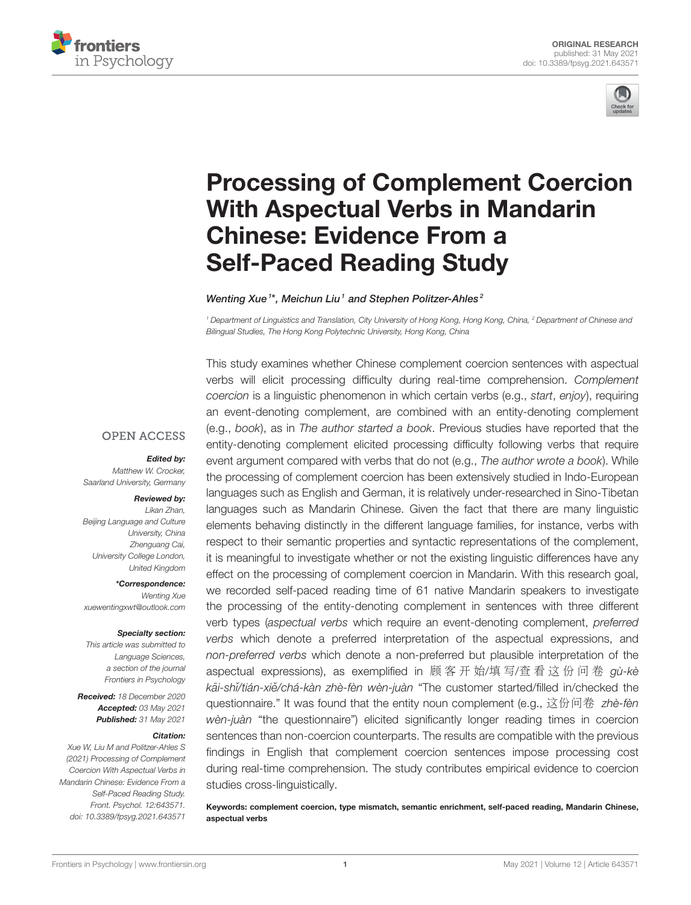



# [Processing of Complement Coercion](https://www.frontiersin.org/articles/10.3389/fpsyg.2021.643571/full) With Aspectual Verbs in Mandarin Chinese: Evidence From a Self-Paced Reading Study

Wenting Xue<sup>1\*</sup>, Meichun Liu<sup>1</sup> and Stephen Politzer-Ahles<sup>2</sup>

<sup>1</sup> Department of Linguistics and Translation, City University of Hong Kong, Hong Kong, China, <sup>2</sup> Department of Chinese and Bilingual Studies, The Hong Kong Polytechnic University, Hong Kong, China

**OPEN ACCESS** 

#### *Edited by:*

Matthew W. Crocker, Saarland University, Germany

#### *Reviewed by:*

Likan Zhan, Beijing Language and Culture University, China Zhenguang Cai, University College London, United Kingdom

*\*Correspondence:* Wenting Xue [xuewentingxwt@outlook.com](mailto:xuewentingxwt@outlook.com)

#### *Specialty section:*

This article was submitted to Language Sciences, a section of the journal Frontiers in Psychology

*Received:* 18 December 2020 *Accepted:* 03 May 2021 *Published:* 31 May 2021

#### *Citation:*

Xue W, Liu M and Politzer-Ahles S (2021) Processing of Complement Coercion With Aspectual Verbs in Mandarin Chinese: Evidence From a Self-Paced Reading Study. Front. Psychol. 12:643571. doi: [10.3389/fpsyg.2021.643571](https://doi.org/10.3389/fpsyg.2021.643571)

This study examines whether Chinese complement coercion sentences with aspectual verbs will elicit processing difficulty during real-time comprehension. Complement coercion is a linguistic phenomenon in which certain verbs (e.g., start, enjoy), requiring an event-denoting complement, are combined with an entity-denoting complement (e.g., book), as in The author started a book. Previous studies have reported that the entity-denoting complement elicited processing difficulty following verbs that require event argument compared with verbs that do not (e.g., The author wrote a book). While the processing of complement coercion has been extensively studied in Indo-European languages such as English and German, it is relatively under-researched in Sino-Tibetan languages such as Mandarin Chinese. Given the fact that there are many linguistic elements behaving distinctly in the different language families, for instance, verbs with respect to their semantic properties and syntactic representations of the complement, it is meaningful to investigate whether or not the existing linguistic differences have any effect on the processing of complement coercion in Mandarin. With this research goal, we recorded self-paced reading time of 61 native Mandarin speakers to investigate the processing of the entity-denoting complement in sentences with three different verb types (aspectual verbs which require an event-denoting complement, preferred verbs which denote a preferred interpretation of the aspectual expressions, and non-preferred verbs which denote a non-preferred but plausible interpretation of the aspectual expressions), as exemplified in 顾 客 开 始/填 写/查 看 这 份 问 卷 gù-kè kāi-shi/tián-xiě/chá-kàn zhè-fèn wèn-juàn "The customer started/filled in/checked the questionnaire." It was found that the entity noun complement (e.g., 这份问卷 zhè-fèn wèn-juàn "the questionnaire") elicited significantly longer reading times in coercion sentences than non-coercion counterparts. The results are compatible with the previous findings in English that complement coercion sentences impose processing cost during real-time comprehension. The study contributes empirical evidence to coercion studies cross-linguistically.

Keywords: complement coercion, type mismatch, semantic enrichment, self-paced reading, Mandarin Chinese, aspectual verbs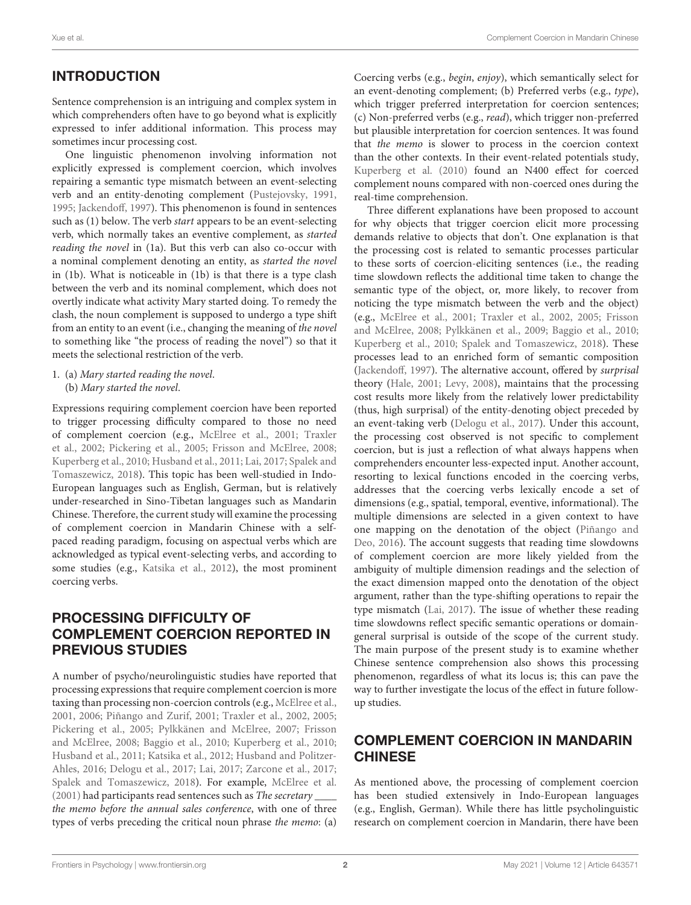# INTRODUCTION

Sentence comprehension is an intriguing and complex system in which comprehenders often have to go beyond what is explicitly expressed to infer additional information. This process may sometimes incur processing cost.

One linguistic phenomenon involving information not explicitly expressed is complement coercion, which involves repairing a semantic type mismatch between an event-selecting verb and an entity-denoting complement [\(Pustejovsky, 1991,](#page-10-0) [1995;](#page-10-1) [Jackendoff, 1997\)](#page-10-2). This phenomenon is found in sentences such as (1) below. The verb start appears to be an event-selecting verb, which normally takes an eventive complement, as started reading the novel in (1a). But this verb can also co-occur with a nominal complement denoting an entity, as started the novel in (1b). What is noticeable in (1b) is that there is a type clash between the verb and its nominal complement, which does not overtly indicate what activity Mary started doing. To remedy the clash, the noun complement is supposed to undergo a type shift from an entity to an event (i.e., changing the meaning of the novel to something like "the process of reading the novel") so that it meets the selectional restriction of the verb.

1. (a) Mary started reading the novel. (b) Mary started the novel.

Expressions requiring complement coercion have been reported to trigger processing difficulty compared to those no need of complement coercion (e.g., [McElree et al., 2001;](#page-10-3) Traxler et al., [2002;](#page-11-0) [Pickering et al., 2005;](#page-10-4) [Frisson and McElree, 2008;](#page-10-5) [Kuperberg et al., 2010;](#page-10-6) [Husband et al., 2011;](#page-10-7) [Lai, 2017;](#page-10-8) Spalek and Tomaszewicz, [2018\)](#page-11-1). This topic has been well-studied in Indo-European languages such as English, German, but is relatively under-researched in Sino-Tibetan languages such as Mandarin Chinese. Therefore, the current study will examine the processing of complement coercion in Mandarin Chinese with a selfpaced reading paradigm, focusing on aspectual verbs which are acknowledged as typical event-selecting verbs, and according to some studies (e.g., [Katsika et al., 2012\)](#page-10-9), the most prominent coercing verbs.

## PROCESSING DIFFICULTY OF COMPLEMENT COERCION REPORTED IN PREVIOUS STUDIES

A number of psycho/neurolinguistic studies have reported that processing expressions that require complement coercion is more taxing than processing non-coercion controls (e.g., [McElree et al.,](#page-10-3) [2001,](#page-10-3) [2006;](#page-10-10) [Piñango and Zurif, 2001;](#page-10-11) [Traxler et al., 2002,](#page-11-0) [2005;](#page-11-2) [Pickering et al., 2005;](#page-10-4) [Pylkkänen and McElree, 2007;](#page-10-12) Frisson and McElree, [2008;](#page-10-5) [Baggio et al., 2010;](#page-10-13) [Kuperberg et al., 2010;](#page-10-6) [Husband et al., 2011;](#page-10-7) [Katsika et al., 2012;](#page-10-9) Husband and Politzer-Ahles, [2016;](#page-10-14) [Delogu et al., 2017;](#page-10-15) [Lai, 2017;](#page-10-8) [Zarcone et al., 2017;](#page-11-3) [Spalek and Tomaszewicz, 2018\)](#page-11-1). For example, [McElree et al.](#page-10-3) [\(2001\)](#page-10-3) had participants read sentences such as The secretary \_\_\_\_ the memo before the annual sales conference, with one of three types of verbs preceding the critical noun phrase the memo: (a) Coercing verbs (e.g., begin, enjoy), which semantically select for an event-denoting complement; (b) Preferred verbs (e.g., type), which trigger preferred interpretation for coercion sentences; (c) Non-preferred verbs (e.g., read), which trigger non-preferred but plausible interpretation for coercion sentences. It was found that the memo is slower to process in the coercion context than the other contexts. In their event-related potentials study, [Kuperberg et al. \(2010\)](#page-10-6) found an N400 effect for coerced complement nouns compared with non-coerced ones during the real-time comprehension.

Three different explanations have been proposed to account for why objects that trigger coercion elicit more processing demands relative to objects that don't. One explanation is that the processing cost is related to semantic processes particular to these sorts of coercion-eliciting sentences (i.e., the reading time slowdown reflects the additional time taken to change the semantic type of the object, or, more likely, to recover from noticing the type mismatch between the verb and the object) (e.g., [McElree et al., 2001;](#page-10-3) [Traxler et al., 2002,](#page-11-0) [2005;](#page-11-2) Frisson and McElree, [2008;](#page-10-5) [Pylkkänen et al., 2009;](#page-10-16) [Baggio et al., 2010;](#page-10-13) [Kuperberg et al., 2010;](#page-10-6) [Spalek and Tomaszewicz, 2018\)](#page-11-1). These processes lead to an enriched form of semantic composition [\(Jackendoff, 1997\)](#page-10-2). The alternative account, offered by surprisal theory [\(Hale, 2001;](#page-10-17) [Levy, 2008\)](#page-10-18), maintains that the processing cost results more likely from the relatively lower predictability (thus, high surprisal) of the entity-denoting object preceded by an event-taking verb [\(Delogu et al., 2017\)](#page-10-15). Under this account, the processing cost observed is not specific to complement coercion, but is just a reflection of what always happens when comprehenders encounter less-expected input. Another account, resorting to lexical functions encoded in the coercing verbs, addresses that the coercing verbs lexically encode a set of dimensions (e.g., spatial, temporal, eventive, informational). The multiple dimensions are selected in a given context to have one mapping on the denotation of the object (Piñango and Deo, [2016\)](#page-10-19). The account suggests that reading time slowdowns of complement coercion are more likely yielded from the ambiguity of multiple dimension readings and the selection of the exact dimension mapped onto the denotation of the object argument, rather than the type-shifting operations to repair the type mismatch [\(Lai, 2017\)](#page-10-8). The issue of whether these reading time slowdowns reflect specific semantic operations or domaingeneral surprisal is outside of the scope of the current study. The main purpose of the present study is to examine whether Chinese sentence comprehension also shows this processing phenomenon, regardless of what its locus is; this can pave the way to further investigate the locus of the effect in future followup studies.

## COMPLEMENT COERCION IN MANDARIN CHINESE

As mentioned above, the processing of complement coercion has been studied extensively in Indo-European languages (e.g., English, German). While there has little psycholinguistic research on complement coercion in Mandarin, there have been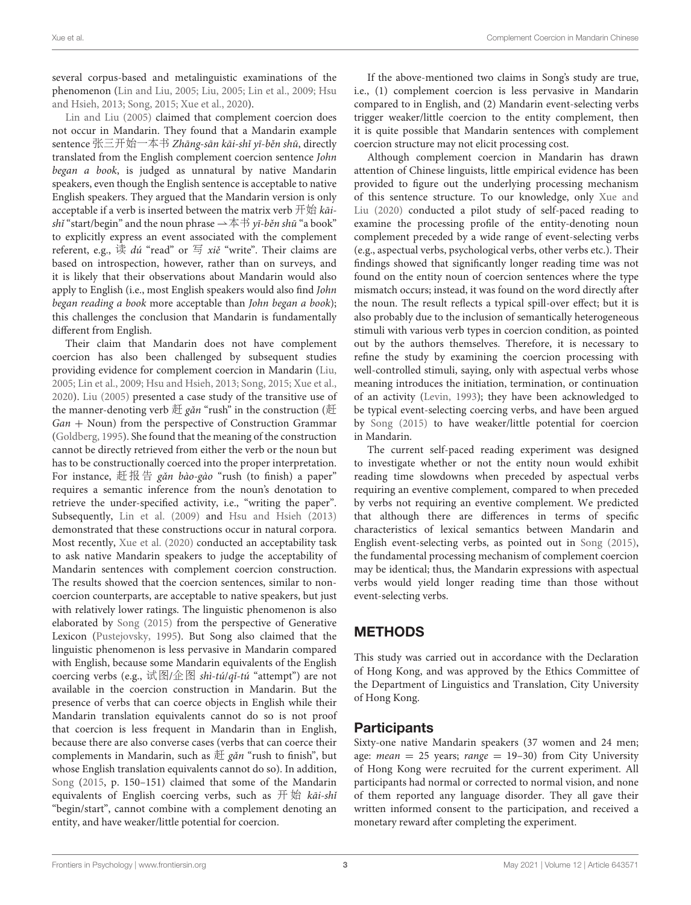several corpus-based and metalinguistic examinations of the phenomenon [\(Lin and Liu, 2005;](#page-10-20) [Liu, 2005;](#page-10-21) [Lin et al., 2009;](#page-10-22) Hsu and Hsieh, [2013;](#page-10-23) [Song, 2015;](#page-10-24) [Xue et al., 2020\)](#page-11-4).

[Lin and Liu \(2005\)](#page-10-20) claimed that complement coercion does not occur in Mandarin. They found that a Mandarin example sentence 张三开始一本书 Zhāng-sān kāi-shǐ yī-běn shū, directly translated from the English complement coercion sentence John began a book, is judged as unnatural by native Mandarin speakers, even though the English sentence is acceptable to native English speakers. They argued that the Mandarin version is only acceptable if a verb is inserted between the matrix verb  $\#$  $\sharp\sharp$  kaishi "start/begin" and the noun phrase  $\rightarrow \pm \pm \gamma i$ -běn shū "a book" to explicitly express an event associated with the complement referent, e.g., 读  $\frac{d\mathbf{x}}{dt}$  "read" or  $\frac{d\mathbf{x}}{dt}$  "write". Their claims are based on introspection, however, rather than on surveys, and it is likely that their observations about Mandarin would also apply to English (i.e., most English speakers would also find John began reading a book more acceptable than John began a book); this challenges the conclusion that Mandarin is fundamentally different from English.

Their claim that Mandarin does not have complement coercion has also been challenged by subsequent studies providing evidence for complement coercion in Mandarin [\(Liu,](#page-10-21) [2005;](#page-10-21) [Lin et al., 2009;](#page-10-22) [Hsu and Hsieh, 2013;](#page-10-23) [Song, 2015;](#page-10-24) [Xue et](#page-11-4) al., [2020\)](#page-11-4). [Liu \(2005\)](#page-10-21) presented a case study of the transitive use of the manner-denoting verb  $E$  gǎn "rush" in the construction ( $E$ Gan + Noun) from the perspective of Construction Grammar [\(Goldberg, 1995\)](#page-10-25). She found that the meaning of the construction cannot be directly retrieved from either the verb or the noun but has to be constructionally coerced into the proper interpretation. For instance, 赶报告 *gǎn bào-gào* "rush (to finish) a paper" requires a semantic inference from the noun's denotation to retrieve the under-specified activity, i.e., "writing the paper". Subsequently, [Lin et al. \(2009\)](#page-10-22) and [Hsu and Hsieh \(2013\)](#page-10-23) demonstrated that these constructions occur in natural corpora. Most recently, [Xue et al. \(2020\)](#page-11-4) conducted an acceptability task to ask native Mandarin speakers to judge the acceptability of Mandarin sentences with complement coercion construction. The results showed that the coercion sentences, similar to noncoercion counterparts, are acceptable to native speakers, but just with relatively lower ratings. The linguistic phenomenon is also elaborated by [Song \(2015\)](#page-10-24) from the perspective of Generative Lexicon [\(Pustejovsky, 1995\)](#page-10-1). But Song also claimed that the linguistic phenomenon is less pervasive in Mandarin compared with English, because some Mandarin equivalents of the English coercing verbs (e.g., 试图/企图 shì-tú/qǐ-tú "attempt") are not available in the coercion construction in Mandarin. But the presence of verbs that can coerce objects in English while their Mandarin translation equivalents cannot do so is not proof that coercion is less frequent in Mandarin than in English, because there are also converse cases (verbs that can coerce their complements in Mandarin, such as  $# \xi$  găn "rush to finish", but whose English translation equivalents cannot do so). In addition, [Song](#page-10-24) [\(2015,](#page-10-24) p. 150–151) claimed that some of the Mandarin equivalents of English coercing verbs, such as  $\#$   $\#$  kai-shi "begin/start", cannot combine with a complement denoting an entity, and have weaker/little potential for coercion.

If the above-mentioned two claims in Song's study are true, i.e., (1) complement coercion is less pervasive in Mandarin compared to in English, and (2) Mandarin event-selecting verbs trigger weaker/little coercion to the entity complement, then it is quite possible that Mandarin sentences with complement coercion structure may not elicit processing cost.

Although complement coercion in Mandarin has drawn attention of Chinese linguists, little empirical evidence has been provided to figure out the underlying processing mechanism of this sentence structure. To our knowledge, only Xue and Liu [\(2020\)](#page-11-5) conducted a pilot study of self-paced reading to examine the processing profile of the entity-denoting noun complement preceded by a wide range of event-selecting verbs (e.g., aspectual verbs, psychological verbs, other verbs etc.). Their findings showed that significantly longer reading time was not found on the entity noun of coercion sentences where the type mismatch occurs; instead, it was found on the word directly after the noun. The result reflects a typical spill-over effect; but it is also probably due to the inclusion of semantically heterogeneous stimuli with various verb types in coercion condition, as pointed out by the authors themselves. Therefore, it is necessary to refine the study by examining the coercion processing with well-controlled stimuli, saying, only with aspectual verbs whose meaning introduces the initiation, termination, or continuation of an activity [\(Levin, 1993\)](#page-10-26); they have been acknowledged to be typical event-selecting coercing verbs, and have been argued by [Song \(2015\)](#page-10-24) to have weaker/little potential for coercion in Mandarin.

The current self-paced reading experiment was designed to investigate whether or not the entity noun would exhibit reading time slowdowns when preceded by aspectual verbs requiring an eventive complement, compared to when preceded by verbs not requiring an eventive complement. We predicted that although there are differences in terms of specific characteristics of lexical semantics between Mandarin and English event-selecting verbs, as pointed out in [Song \(2015\)](#page-10-24), the fundamental processing mechanism of complement coercion may be identical; thus, the Mandarin expressions with aspectual verbs would yield longer reading time than those without event-selecting verbs.

# METHODS

This study was carried out in accordance with the Declaration of Hong Kong, and was approved by the Ethics Committee of the Department of Linguistics and Translation, City University of Hong Kong.

## Participants

Sixty-one native Mandarin speakers (37 women and 24 men; age: *mean* = 25 years;  $range = 19-30$  from City University of Hong Kong were recruited for the current experiment. All participants had normal or corrected to normal vision, and none of them reported any language disorder. They all gave their written informed consent to the participation, and received a monetary reward after completing the experiment.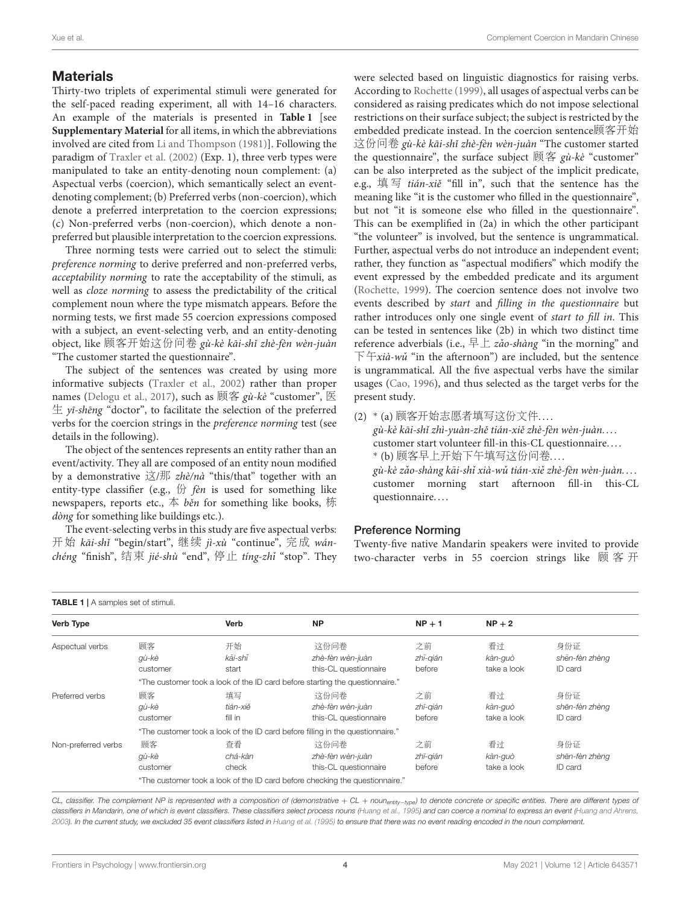#### **Materials**

Thirty-two triplets of experimental stimuli were generated for the self-paced reading experiment, all with 14–16 characters. An example of the materials is presented in **[Table 1](#page-3-0)** [see **[Supplementary Material](#page-10-27)** for all items, in which the abbreviations involved are cited from [Li and Thompson \(1981\)](#page-10-28)]. Following the paradigm of [Traxler et al. \(2002\)](#page-11-0) (Exp. 1), three verb types were manipulated to take an entity-denoting noun complement: (a) Aspectual verbs (coercion), which semantically select an eventdenoting complement; (b) Preferred verbs (non-coercion), which denote a preferred interpretation to the coercion expressions; (c) Non-preferred verbs (non-coercion), which denote a nonpreferred but plausible interpretation to the coercion expressions.

Three norming tests were carried out to select the stimuli: preference norming to derive preferred and non-preferred verbs, acceptability norming to rate the acceptability of the stimuli, as well as cloze norming to assess the predictability of the critical complement noun where the type mismatch appears. Before the norming tests, we first made 55 coercion expressions composed with a subject, an event-selecting verb, and an entity-denoting object, like 顾客开始这份问卷 gù-kè kāi-shǐ zhè-fèn wèn-juàn "The customer started the questionnaire".

The subject of the sentences was created by using more informative subjects [\(Traxler et al., 2002\)](#page-11-0) rather than proper names [\(Delogu et al., 2017\)](#page-10-15), such as 顾客 gù-kè "customer", 医  $\pm$  yī-shēng "doctor", to facilitate the selection of the preferred verbs for the coercion strings in the preference norming test (see details in the following).

The object of the sentences represents an entity rather than an event/activity. They all are composed of an entity noun modified by a demonstrative  $\ddot{\triangle}/\frac{1}{2}$   $zhè/nd$  "this/that" together with an entity-type classifier (e.g.,  $\#$  fèn is used for something like newspapers, reports etc.,  $\Phi$  *běn* for something like books, 栋 dòng for something like buildings etc.).

The event-selecting verbs in this study are five aspectual verbs: 开始 kāi-shǐ "begin/start", 继续 jì-xù "continue", 完成 wánchéng "finish", 结束 jié-shù "end", 停止 tíng-zhǐ "stop". They were selected based on linguistic diagnostics for raising verbs. According to [Rochette \(1999\)](#page-10-29), all usages of aspectual verbs can be considered as raising predicates which do not impose selectional restrictions on their surface subject; the subject is restricted by the embedded predicate instead. In the coercion sentence顾客开始 这份问卷 gù-kè kāi-shǐ zhè-fèn wèn-juàn "The customer started the questionnaire", the surface subject  $\overline{M} \overset{\frown}{R}$  gù-kè "customer" can be also interpreted as the subject of the implicit predicate, e.g., 填写 tián-xiě "fill in", such that the sentence has the meaning like "it is the customer who filled in the questionnaire", but not "it is someone else who filled in the questionnaire". This can be exemplified in (2a) in which the other participant "the volunteer" is involved, but the sentence is ungrammatical. Further, aspectual verbs do not introduce an independent event; rather, they function as "aspectual modifiers" which modify the event expressed by the embedded predicate and its argument [\(Rochette, 1999\)](#page-10-29). The coercion sentence does not involve two events described by start and filling in the questionnaire but rather introduces only one single event of start to fill in. This can be tested in sentences like (2b) in which two distinct time reference adverbials (i.e., 早上  $z\check{a}o$ -shàng "in the morning" and  $\overline{\mathrm{F}}$   $\overline{\mathrm{F}}$   $\overline{\mathrm{F}}$   $\overline{\mathrm{F}}$   $\mathrm{F}$   $\mathrm{F}$   $\mathrm{F}$   $\mathrm{F}$  in the sentence  $\overline{\mathrm{F}}$   $\mathrm{F}$   $\mathrm{F}$   $\mathrm{F}$   $\mathrm{F}$   $\mathrm{F}$   $\mathrm{F}$   $\mathrm{F}$   $\mathrm{F}$   $\mathrm{F}$   $\mathrm{F}$   $\mathrm{F}$   $\mathrm{F}$   $\mathrm{F}$   $\mathrm{F}$   $\mathrm{F}$ is ungrammatical. All the five aspectual verbs have the similar usages [\(Cao, 1996\)](#page-10-30), and thus selected as the target verbs for the present study.

(2) \*(a) 顾客开始志愿者填写这份文件.... gù-kè kāi-shǐ zhì-yuàn-zhě tián-xiě zhè-fèn wèn-juàn.... customer start volunteer fill-in this-CL questionnaire. . . . ∗ (b) 顾客早上开始下午填写这份问卷... gù-kè zǎo-shàng kāi-shǐ xià-wǔ tián-xiě zhè-fèn wèn-juàn.... customer morning start afternoon fill-in this-CL questionnaire. . . .

#### Preference Norming

Twenty-five native Mandarin speakers were invited to provide two-character verbs in 55 coercion strings like 顾 客 开

<span id="page-3-0"></span>

| <b>Verb Type</b>    |                                                                                | <b>Verb</b>               | <b>NP</b>                                                                    | $NP + 1$                 | $NP + 2$                     |                                  |  |
|---------------------|--------------------------------------------------------------------------------|---------------------------|------------------------------------------------------------------------------|--------------------------|------------------------------|----------------------------------|--|
| Aspectual verbs     | 顾客<br>gù-kè<br>customer                                                        | 开始<br>kāi-shĭ<br>start    | 这份问卷<br>zhè-fèn wèn-juàn<br>this-CL questionnaire                            | 之前<br>zhī-gián<br>before | 看过<br>kàn-guò<br>take a look | 身份证<br>shēn-fèn zhèng<br>ID card |  |
|                     | "The customer took a look of the ID card before starting the questionnaire."   |                           |                                                                              |                          |                              |                                  |  |
| Preferred verbs     | 顾客<br>gù-kè<br>customer                                                        | 填写<br>tián-xiě<br>fill in | 这份间卷<br>zhè-fèn wèn-juàn<br>this-CL questionnaire                            | 之前<br>zhī-gián<br>before | 看过<br>kàn-guò<br>take a look | 身份证<br>shēn-fèn zhèng<br>ID card |  |
|                     | "The customer took a look of the ID card before filling in the questionnaire." |                           |                                                                              |                          |                              |                                  |  |
| Non-preferred verbs | 顾客<br>gù-kè<br>customer                                                        | 杳看<br>chá-kàn<br>check    | 这份间卷<br>zhè-fèn wèn-juàn<br>this-CL questionnaire                            | 之前<br>zhī-gián<br>before | 看过<br>kàn-guò<br>take a look | 身份证<br>shēn-fèn zhèng<br>ID card |  |
|                     |                                                                                |                           | "The customer took a look of the ID card before checking the questionnaire." |                          |                              |                                  |  |

CL, classifier. The complement NP is represented with a composition of (demonstrative + CL + noun<sub>entity−type</sub>) to denote concrete or specific entities. There are different types of classifiers in Mandarin, one of which is event classifiers. These classifiers select process nouns [\(Huang et al., 1995\)](#page-10-31) and can coerce a nominal to express an event [\(Huang and Ahrens,](#page-10-32) [2003\)](#page-10-32). In the current study, we excluded 35 event classifiers listed in [Huang et al. \(1995\)](#page-10-31) to ensure that there was no event reading encoded in the noun complement.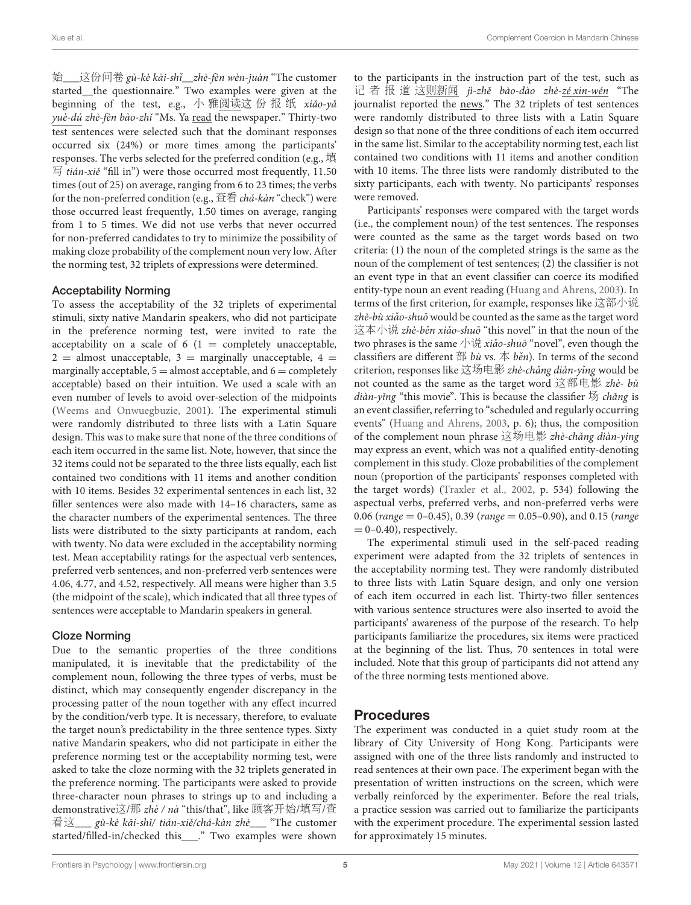始\_\_\_这份问卷 gù-kè kāi-shǐ\_\_zhè-fèn wèn-juàn "The customer started\_\_the questionnaire." Two examples were given at the beginning of the test, e.g., 小 雅阅读这 份 报 纸 xiǎo-yǎ yuè-dú zhè-fèn bào-zhǐ "Ms. Ya read the newspaper." Thirty-two test sentences were selected such that the dominant responses occurred six (24%) or more times among the participants' responses. The verbs selected for the preferred condition (e.g., 填  $\Xi$  tián-xiě "fill in") were those occurred most frequently, 11.50 times (out of 25) on average, ranging from 6 to 23 times; the verbs for the non-preferred condition (e.g., 查看 chá-kàn "check") were those occurred least frequently, 1.50 times on average, ranging from 1 to 5 times. We did not use verbs that never occurred for non-preferred candidates to try to minimize the possibility of making cloze probability of the complement noun very low. After the norming test, 32 triplets of expressions were determined.

#### Acceptability Norming

To assess the acceptability of the 32 triplets of experimental stimuli, sixty native Mandarin speakers, who did not participate in the preference norming test, were invited to rate the acceptability on a scale of  $6(1 = \text{completely unacceptable},$  $2 =$  almost unacceptable,  $3 =$  marginally unacceptable,  $4 =$ marginally acceptable,  $5 =$  almost acceptable, and  $6 =$  completely acceptable) based on their intuition. We used a scale with an even number of levels to avoid over-selection of the midpoints [\(Weems and Onwuegbuzie, 2001\)](#page-11-6). The experimental stimuli were randomly distributed to three lists with a Latin Square design. This was to make sure that none of the three conditions of each item occurred in the same list. Note, however, that since the 32 items could not be separated to the three lists equally, each list contained two conditions with 11 items and another condition with 10 items. Besides 32 experimental sentences in each list, 32 filler sentences were also made with 14–16 characters, same as the character numbers of the experimental sentences. The three lists were distributed to the sixty participants at random, each with twenty. No data were excluded in the acceptability norming test. Mean acceptability ratings for the aspectual verb sentences, preferred verb sentences, and non-preferred verb sentences were 4.06, 4.77, and 4.52, respectively. All means were higher than 3.5 (the midpoint of the scale), which indicated that all three types of sentences were acceptable to Mandarin speakers in general.

#### Cloze Norming

Due to the semantic properties of the three conditions manipulated, it is inevitable that the predictability of the complement noun, following the three types of verbs, must be distinct, which may consequently engender discrepancy in the processing patter of the noun together with any effect incurred by the condition/verb type. It is necessary, therefore, to evaluate the target noun's predictability in the three sentence types. Sixty native Mandarin speakers, who did not participate in either the preference norming test or the acceptability norming test, were asked to take the cloze norming with the 32 triplets generated in the preference norming. The participants were asked to provide three-character noun phrases to strings up to and including a demonstrative这/那 zhè / nà "this/that", like 顾客开始/填写/查 看这\_\_\_ gù-kè kāi-shǐ/ tián-xiě/chá-kàn zhè\_\_\_ "The customer started/filled-in/checked this\_\_\_." Two examples were shown to the participants in the instruction part of the test, such as 记 者 报 道 这则新闻 jì-zhě bào-dào zhè-zé xin-wén "The journalist reported the news." The 32 triplets of test sentences were randomly distributed to three lists with a Latin Square design so that none of the three conditions of each item occurred in the same list. Similar to the acceptability norming test, each list contained two conditions with 11 items and another condition with 10 items. The three lists were randomly distributed to the sixty participants, each with twenty. No participants' responses were removed.

Participants' responses were compared with the target words (i.e., the complement noun) of the test sentences. The responses were counted as the same as the target words based on two criteria: (1) the noun of the completed strings is the same as the noun of the complement of test sentences; (2) the classifier is not an event type in that an event classifier can coerce its modified entity-type noun an event reading [\(Huang and Ahrens, 2003\)](#page-10-32). In terms of the first criterion, for example, responses like 这部小说 zhè-bù xiǎo-shuō would be counted as the same as the target word 这本小说 zhè-běn xiǎo-shuō "this novel" in that the noun of the two phrases is the same  $\psi$ 说 xiǎo-shuō "novel", even though the classifiers are different 部 bù vs. 本 běn). In terms of the second criterion, responses like 这场电影 zhè-chǎng diàn-yǐng would be not counted as the same as the target word 这部电影 zhè- bù diàn-yǐng "this movie". This is because the classifier  $\frac{1}{2}$  chǎng is an event classifier, referring to "scheduled and regularly occurring events" [\(Huang and Ahrens, 2003,](#page-10-32) p. 6); thus, the composition of the complement noun phrase 这场电影 zhè-chǎng diàn-ying may express an event, which was not a qualified entity-denoting complement in this study. Cloze probabilities of the complement noun (proportion of the participants' responses completed with the target words) [\(Traxler et al., 2002,](#page-11-0) p. 534) following the aspectual verbs, preferred verbs, and non-preferred verbs were 0.06 (range  $= 0-0.45$ ), 0.39 (range  $= 0.05-0.90$ ), and 0.15 (range  $= 0-0.40$ ), respectively.

The experimental stimuli used in the self-paced reading experiment were adapted from the 32 triplets of sentences in the acceptability norming test. They were randomly distributed to three lists with Latin Square design, and only one version of each item occurred in each list. Thirty-two filler sentences with various sentence structures were also inserted to avoid the participants' awareness of the purpose of the research. To help participants familiarize the procedures, six items were practiced at the beginning of the list. Thus, 70 sentences in total were included. Note that this group of participants did not attend any of the three norming tests mentioned above.

## Procedures

The experiment was conducted in a quiet study room at the library of City University of Hong Kong. Participants were assigned with one of the three lists randomly and instructed to read sentences at their own pace. The experiment began with the presentation of written instructions on the screen, which were verbally reinforced by the experimenter. Before the real trials, a practice session was carried out to familiarize the participants with the experiment procedure. The experimental session lasted for approximately 15 minutes.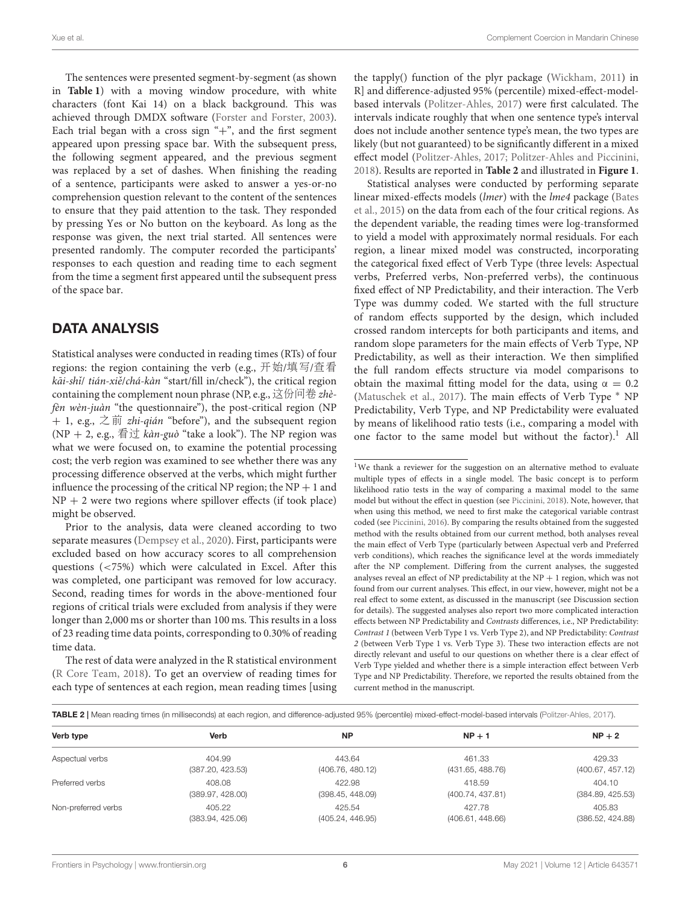The sentences were presented segment-by-segment (as shown in **[Table 1](#page-3-0)**) with a moving window procedure, with white characters (font Kai 14) on a black background. This was achieved through DMDX software [\(Forster and Forster, 2003\)](#page-10-33). Each trial began with a cross sign " $+$ ", and the first segment appeared upon pressing space bar. With the subsequent press, the following segment appeared, and the previous segment was replaced by a set of dashes. When finishing the reading of a sentence, participants were asked to answer a yes-or-no comprehension question relevant to the content of the sentences to ensure that they paid attention to the task. They responded by pressing Yes or No button on the keyboard. As long as the response was given, the next trial started. All sentences were presented randomly. The computer recorded the participants' responses to each question and reading time to each segment from the time a segment first appeared until the subsequent press of the space bar.

## DATA ANALYSIS

Statistical analyses were conducted in reading times (RTs) of four regions: the region containing the verb (e.g., 开始/填写/查看 kāi-shi/ tián-xiě/chá-kàn "start/fill in/check"), the critical region containing the complement noun phrase (NP, e.g., 这份问卷  $zh\`e$ fèn wèn-juàn "the questionnaire"), the post-critical region (NP  $+$  1, e.g.,  $\dot{\mathcal{Z}}$   $\dot{\mathcal{F}}$  *zhi-qián* "before"), and the subsequent region (NP + 2, e.g., 看过 kàn-guò "take a look"). The NP region was what we were focused on, to examine the potential processing cost; the verb region was examined to see whether there was any processing difference observed at the verbs, which might further influence the processing of the critical NP region; the  $NP + 1$  and  $NP + 2$  were two regions where spillover effects (if took place) might be observed.

Prior to the analysis, data were cleaned according to two separate measures [\(Dempsey et al., 2020\)](#page-10-34). First, participants were excluded based on how accuracy scores to all comprehension questions (<75%) which were calculated in Excel. After this was completed, one participant was removed for low accuracy. Second, reading times for words in the above-mentioned four regions of critical trials were excluded from analysis if they were longer than 2,000 ms or shorter than 100 ms. This results in a loss of 23 reading time data points, corresponding to 0.30% of reading time data.

The rest of data were analyzed in the R statistical environment [\(R Core Team, 2018\)](#page-10-35). To get an overview of reading times for each type of sentences at each region, mean reading times [using the tapply() function of the plyr package [\(Wickham, 2011\)](#page-11-7) in R] and difference-adjusted 95% (percentile) mixed-effect-modelbased intervals [\(Politzer-Ahles, 2017\)](#page-10-36) were first calculated. The intervals indicate roughly that when one sentence type's interval does not include another sentence type's mean, the two types are likely (but not guaranteed) to be significantly different in a mixed effect model [\(Politzer-Ahles, 2017;](#page-10-36) [Politzer-Ahles and Piccinini,](#page-10-37) [2018\)](#page-10-37). Results are reported in **[Table 2](#page-5-0)** and illustrated in **[Figure 1](#page-6-0)**.

Statistical analyses were conducted by performing separate linear mixed-effects models (lmer) with the lme4 package (Bates et al., [2015\)](#page-10-38) on the data from each of the four critical regions. As the dependent variable, the reading times were log-transformed to yield a model with approximately normal residuals. For each region, a linear mixed model was constructed, incorporating the categorical fixed effect of Verb Type (three levels: Aspectual verbs, Preferred verbs, Non-preferred verbs), the continuous fixed effect of NP Predictability, and their interaction. The Verb Type was dummy coded. We started with the full structure of random effects supported by the design, which included crossed random intercepts for both participants and items, and random slope parameters for the main effects of Verb Type, NP Predictability, as well as their interaction. We then simplified the full random effects structure via model comparisons to obtain the maximal fitting model for the data, using  $\alpha = 0.2$ [\(Matuschek et al., 2017\)](#page-10-39). The main effects of Verb Type <sup>∗</sup> NP Predictability, Verb Type, and NP Predictability were evaluated by means of likelihood ratio tests (i.e., comparing a model with one factor to the same model but without the factor).<sup>[1](#page-5-1)</sup> All

<span id="page-5-1"></span><sup>&</sup>lt;sup>1</sup>We thank a reviewer for the suggestion on an alternative method to evaluate multiple types of effects in a single model. The basic concept is to perform likelihood ratio tests in the way of comparing a maximal model to the same model but without the effect in question (see [Piccinini, 2018\)](#page-10-40). Note, however, that when using this method, we need to first make the categorical variable contrast coded (see [Piccinini, 2016\)](#page-10-41). By comparing the results obtained from the suggested method with the results obtained from our current method, both analyses reveal the main effect of Verb Type (particularly between Aspectual verb and Preferred verb conditions), which reaches the significance level at the words immediately after the NP complement. Differing from the current analyses, the suggested analyses reveal an effect of NP predictability at the  $NP + 1$  region, which was not found from our current analyses. This effect, in our view, however, might not be a real effect to some extent, as discussed in the manuscript (see Discussion section for details). The suggested analyses also report two more complicated interaction effects between NP Predictability and Contrasts differences, i.e., NP Predictability: Contrast 1 (between Verb Type 1 vs. Verb Type 2), and NP Predictability: Contrast 2 (between Verb Type 1 vs. Verb Type 3). These two interaction effects are not directly relevant and useful to our questions on whether there is a clear effect of Verb Type yielded and whether there is a simple interaction effect between Verb Type and NP Predictability. Therefore, we reported the results obtained from the current method in the manuscript.

<span id="page-5-0"></span>

| TABLE 2   Mean reading times (in milliseconds) at each region, and difference-adjusted 95% (percentile) mixed-effect-model-based intervals (Politzer-Ahles, 2017). |  |
|--------------------------------------------------------------------------------------------------------------------------------------------------------------------|--|
|--------------------------------------------------------------------------------------------------------------------------------------------------------------------|--|

|                  |                  |                  | $NP + 2$         |
|------------------|------------------|------------------|------------------|
|                  |                  |                  |                  |
| 404.99           | 443.64           | 461.33           | 429.33           |
| (387.20, 423.53) | (406.76, 480.12) | (431.65, 488.76) | (400.67, 457.12) |
| 408.08           | 422.98           | 418.59           | 404.10           |
| (389.97, 428.00) | (398.45, 448.09) | (400.74, 437.81) | (384.89, 425.53) |
| 405.22           | 425.54           | 427.78           | 405.83           |
| (383.94, 425.06) | (405.24, 446.95) | (406.61, 448.66) | (386.52, 424.88) |
|                  | Verb             | <b>NP</b>        | $NP + 1$         |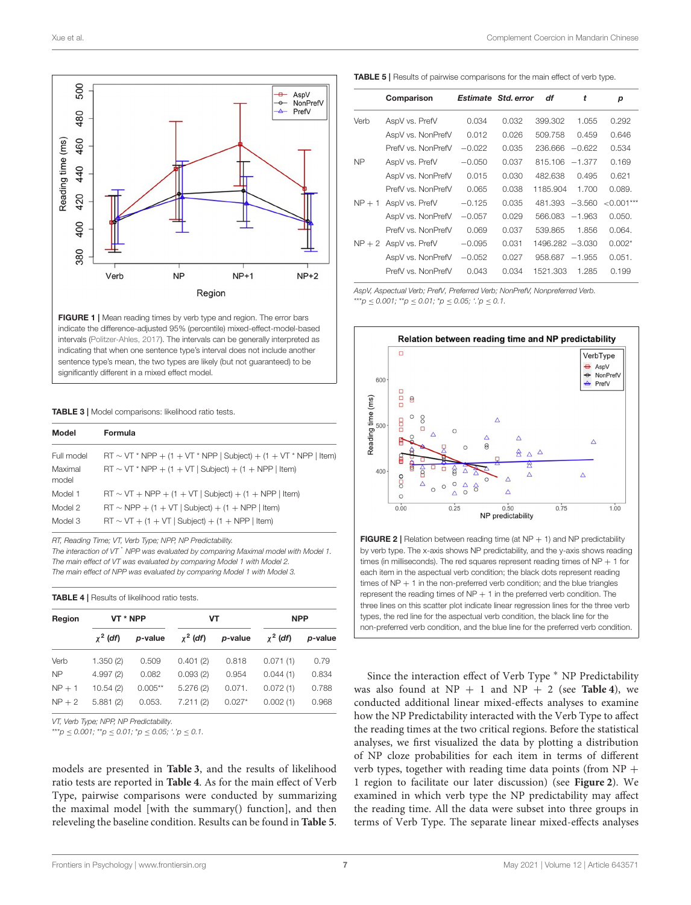

<span id="page-6-0"></span>FIGURE 1 | Mean reading times by verb type and region. The error bars indicate the difference-adjusted 95% (percentile) mixed-effect-model-based intervals [\(Politzer-Ahles, 2017\)](#page-10-36). The intervals can be generally interpreted as indicating that when one sentence type's interval does not include another sentence type's mean, the two types are likely (but not guaranteed) to be significantly different in a mixed effect model.

<span id="page-6-1"></span>TABLE 3 | Model comparisons: likelihood ratio tests.

| Model            | Formula                                                               |
|------------------|-----------------------------------------------------------------------|
| Full model       | $RT \sim VT$ * NPP + (1 + VT * NPP   Subject) + (1 + VT * NPP   Item) |
| Maximal<br>model | $RT \sim VT * NPP + (1 + VT   Subject) + (1 + NPP   item)$            |
| Model 1          | $RT \sim VT + NPP + (1 + VT   Subject) + (1 + NPP   item)$            |
| Model 2          | $RT \sim NPP + (1 + VT   Subject) + (1 + NPP   item)$                 |
| Model 3          | $RT \sim VT + (1 + VT   Subject) + (1 + NPP   item)$                  |

RT, Reading Time; VT, Verb Type; NPP, NP Predictability.

The interaction of VT<sup>\*</sup> NPP was evaluated by comparing Maximal model with Model 1. The main effect of VT was evaluated by comparing Model 1 with Model 2. The main effect of NPP was evaluated by comparing Model 1 with Model 3.

<span id="page-6-2"></span>TABLE 4 | Results of likelihood ratio tests.

| Region    | VT * NPP      |           | VT            |          | <b>NPP</b>    |         |
|-----------|---------------|-----------|---------------|----------|---------------|---------|
|           | $\chi^2$ (df) | p-value   | $\chi^2$ (df) | p-value  | $\chi^2$ (df) | p-value |
| Verb      | 1.350(2)      | 0.509     | 0.401(2)      | 0.818    | 0.071(1)      | 0.79    |
| <b>NP</b> | 4.997(2)      | 0.082     | 0.093(2)      | 0.954    | 0.044(1)      | 0.834   |
| $NP + 1$  | 10.54(2)      | $0.005**$ | 5.276(2)      | 0.071.   | 0.072(1)      | 0.788   |
| $NP + 2$  | 5.881(2)      | 0.053.    | 7.211(2)      | $0.027*$ | 0.002(1)      | 0.968   |

VT, Verb Type; NPP, NP Predictability.

\*\*\*p  $\leq 0.001$ ; \*\*p  $\leq 0.01$ ; \*p  $\leq 0.05$ ; '.'p  $\leq 0.1$ .

models are presented in **[Table 3](#page-6-1)**, and the results of likelihood ratio tests are reported in **[Table 4](#page-6-2)**. As for the main effect of Verb Type, pairwise comparisons were conducted by summarizing the maximal model [with the summary() function], and then releveling the baseline condition. Results can be found in **[Table 5](#page-6-3)**.

<span id="page-6-3"></span>TABLE 5 | Results of pairwise comparisons for the main effect of verb type.

|           | Comparison              |          | Estimate Std. error | df                | t        | р             |
|-----------|-------------------------|----------|---------------------|-------------------|----------|---------------|
| Verb      | AspV vs. PrefV          | 0.034    | 0.032               | 399.302           | 1.055    | 0.292         |
|           | AspV vs. NonPrefV       | 0.012    | 0.026               | 509.758           | 0.459    | 0.646         |
|           | PrefV vs NonPrefV       | $-0.022$ | 0.035               | 236,666           | $-0.622$ | 0.534         |
| <b>NP</b> | AspV vs. PrefV          | $-0.050$ | 0.037               | 815.106           | $-1.377$ | 0.169         |
|           | AspV vs. NonPrefV       | 0.015    | 0.030               | 482.638           | 0.495    | 0.621         |
|           | PrefV vs NonPrefV       | 0.065    | 0.038               | 1185.904          | 1.700    | 0.089.        |
| $NP + 1$  | AspV vs. PrefV          | $-0.125$ | 0.035               | 481.393           | $-3.560$ | ${<}0.001***$ |
|           | AspV vs. NonPrefV       | $-0.057$ | 0.029               | 566,083           | $-1.963$ | 0.050.        |
|           | PrefV vs. NonPrefV      | 0.069    | 0.037               | 539.865           | 1.856    | 0.064.        |
|           | $NP + 2$ AspV vs. PrefV | $-0.095$ | 0.031               | 1496.282 -3.030   |          | $0.002*$      |
|           | AspV vs. NonPrefV       | $-0.052$ | 0.027               | $958.687 - 1.955$ |          | 0.051.        |
|           | PrefV vs NonPrefV       | 0.043    | 0.034               | 1521.303          | 1.285    | 0.199         |

AspV, Aspectual Verb; PrefV, Preferred Verb; NonPrefV, Nonpreferred Verb. \*\*\*p  $\leq 0.001$ ; \*\*p  $\leq 0.01$ ; \*p  $\leq 0.05$ ; '.'p  $\leq 0.1$ .



<span id="page-6-4"></span>**FIGURE 2** | Relation between reading time (at  $NP + 1$ ) and  $NP$  predictability by verb type. The x-axis shows NP predictability, and the y-axis shows reading times (in milliseconds). The red squares represent reading times of  $NP + 1$  for each item in the aspectual verb condition; the black dots represent reading times of  $NP + 1$  in the non-preferred verb condition; and the blue triangles represent the reading times of  $NP + 1$  in the preferred verb condition. The three lines on this scatter plot indicate linear regression lines for the three verb types, the red line for the aspectual verb condition, the black line for the non-preferred verb condition, and the blue line for the preferred verb condition.

Since the interaction effect of Verb Type <sup>∗</sup> NP Predictability was also found at  $NP + 1$  and  $NP + 2$  (see **[Table 4](#page-6-2)**), we conducted additional linear mixed-effects analyses to examine how the NP Predictability interacted with the Verb Type to affect the reading times at the two critical regions. Before the statistical analyses, we first visualized the data by plotting a distribution of NP cloze probabilities for each item in terms of different verb types, together with reading time data points (from  $NP +$ 1 region to facilitate our later discussion) (see **[Figure 2](#page-6-4)**). We examined in which verb type the NP predictability may affect the reading time. All the data were subset into three groups in terms of Verb Type. The separate linear mixed-effects analyses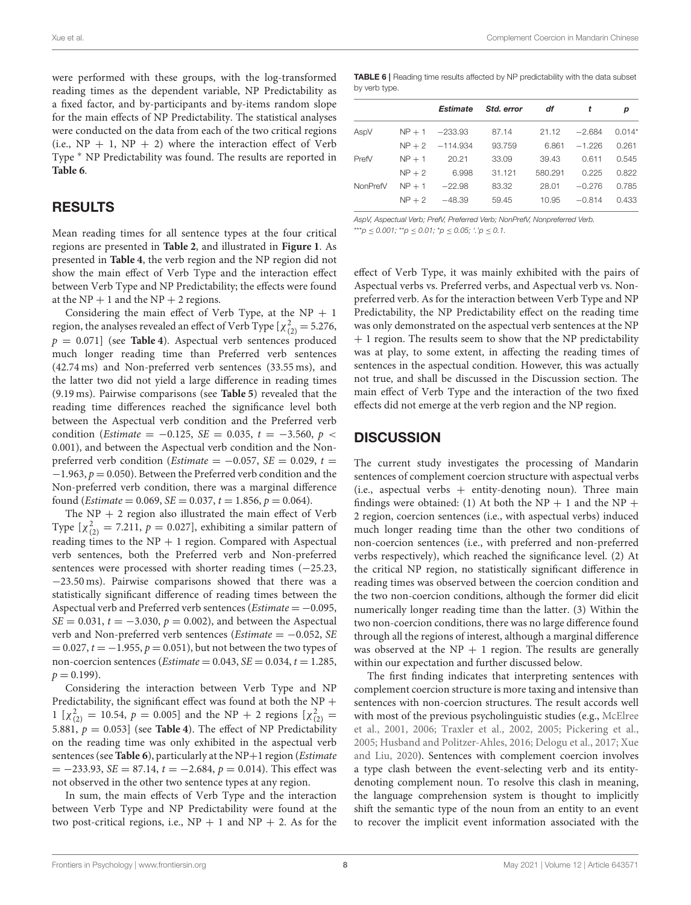were performed with these groups, with the log-transformed reading times as the dependent variable, NP Predictability as a fixed factor, and by-participants and by-items random slope for the main effects of NP Predictability. The statistical analyses were conducted on the data from each of the two critical regions (i.e.,  $NP + 1$ ,  $NP + 2$ ) where the interaction effect of Verb Type  $*$  NP Predictability was found. The results are reported in **[Table 6](#page-7-0)**.

## RESULTS

Mean reading times for all sentence types at the four critical regions are presented in **[Table 2](#page-5-0)**, and illustrated in **[Figure 1](#page-6-0)**. As presented in **[Table 4](#page-6-2)**, the verb region and the NP region did not show the main effect of Verb Type and the interaction effect between Verb Type and NP Predictability; the effects were found at the  $NP + 1$  and the  $NP + 2$  regions.

Considering the main effect of Verb Type, at the  $NP + 1$ region, the analyses revealed an effect of Verb Type [ $\chi^2_{(2)} = 5.276$ ,  $p = 0.071$ ] (see **[Table 4](#page-6-2)**). Aspectual verb sentences produced much longer reading time than Preferred verb sentences (42.74 ms) and Non-preferred verb sentences (33.55 ms), and the latter two did not yield a large difference in reading times (9.19 ms). Pairwise comparisons (see **[Table 5](#page-6-3)**) revealed that the reading time differences reached the significance level both between the Aspectual verb condition and the Preferred verb condition (*Estimate* =  $-0.125$ , *SE* = 0.035,  $t = -3.560$ ,  $p <$ 0.001), and between the Aspectual verb condition and the Nonpreferred verb condition (*Estimate* =  $-0.057$ , *SE* = 0.029, *t* =  $-1.963$ ,  $p = 0.050$ ). Between the Preferred verb condition and the Non-preferred verb condition, there was a marginal difference found (*Estimate* = 0.069, *SE* = 0.037,  $t = 1.856$ ,  $p = 0.064$ ).

The  $NP + 2$  region also illustrated the main effect of Verb Type  $[\chi^2_{(2)} = 7.211, p = 0.027]$ , exhibiting a similar pattern of reading times to the  $NP + 1$  region. Compared with Aspectual verb sentences, both the Preferred verb and Non-preferred sentences were processed with shorter reading times (−25.23, −23.50 ms). Pairwise comparisons showed that there was a statistically significant difference of reading times between the Aspectual verb and Preferred verb sentences (*Estimate* =  $-0.095$ ,  $SE = 0.031$ ,  $t = -3.030$ ,  $p = 0.002$ ), and between the Aspectual verb and Non-preferred verb sentences (Estimate =  $-0.052$ , SE  $= 0.027, t = -1.955, p = 0.051$ , but not between the two types of non-coercion sentences ( $Estimate = 0.043$ ,  $SE = 0.034$ ,  $t = 1.285$ ,  $p = 0.199$ ).

Considering the interaction between Verb Type and NP Predictability, the significant effect was found at both the NP + 1 [ $\chi^2_{(2)}$  = 10.54,  $p = 0.005$ ] and the NP + 2 regions [ $\chi^2_{(2)}$  = 5.881,  $p = 0.053$ ] (see **[Table 4](#page-6-2)**). The effect of NP Predictability on the reading time was only exhibited in the aspectual verb sentences (see **[Table 6](#page-7-0)**), particularly at the NP+1 region (*Estimate*  $= -233.93$ , SE = 87.14,  $t = -2.684$ ,  $p = 0.014$ ). This effect was not observed in the other two sentence types at any region.

In sum, the main effects of Verb Type and the interaction between Verb Type and NP Predictability were found at the two post-critical regions, i.e.,  $NP + 1$  and  $NP + 2$ . As for the

<span id="page-7-0"></span>TABLE 6 | Reading time results affected by NP predictability with the data subset by verb type.

|          |          | Estimate           | Std. error | df      |          | р        |
|----------|----------|--------------------|------------|---------|----------|----------|
| AspV     |          | $NP + 1 -233.93$   | 87.14      | 21.12   | $-2.684$ | $0.014*$ |
|          |          | $NP + 2 - 114.934$ | 93.759     | 6.861   | $-1.226$ | 0.261    |
| PrefV    | $NP + 1$ | 20.21              | 33.09      | 39.43   | 0.611    | 0.545    |
|          | $NP + 2$ | 6.998              | 31.121     | 580.291 | 0.225    | 0.822    |
| NonPrefV | $NP + 1$ | $-22.98$           | 83.32      | 28.01   | $-0.276$ | 0.785    |
|          | $NP + 2$ | $-48.39$           | 59.45      | 10.95   | $-0.814$ | 0.433    |
|          |          |                    |            |         |          |          |

AspV, Aspectual Verb; PrefV, Preferred Verb; NonPrefV, Nonpreferred Verb.

\*\*\*p  $\leq$  0.001; \*\*p  $\leq$  0.01; \*p  $\leq$  0.05; '.'p  $\leq$  0.1.

effect of Verb Type, it was mainly exhibited with the pairs of Aspectual verbs vs. Preferred verbs, and Aspectual verb vs. Nonpreferred verb. As for the interaction between Verb Type and NP Predictability, the NP Predictability effect on the reading time was only demonstrated on the aspectual verb sentences at the NP + 1 region. The results seem to show that the NP predictability was at play, to some extent, in affecting the reading times of sentences in the aspectual condition. However, this was actually not true, and shall be discussed in the Discussion section. The main effect of Verb Type and the interaction of the two fixed effects did not emerge at the verb region and the NP region.

### **DISCUSSION**

The current study investigates the processing of Mandarin sentences of complement coercion structure with aspectual verbs  $(i.e.,$  aspectual verbs  $+$  entity-denoting noun). Three main findings were obtained: (1) At both the NP + 1 and the NP + 2 region, coercion sentences (i.e., with aspectual verbs) induced much longer reading time than the other two conditions of non-coercion sentences (i.e., with preferred and non-preferred verbs respectively), which reached the significance level. (2) At the critical NP region, no statistically significant difference in reading times was observed between the coercion condition and the two non-coercion conditions, although the former did elicit numerically longer reading time than the latter. (3) Within the two non-coercion conditions, there was no large difference found through all the regions of interest, although a marginal difference was observed at the  $NP + 1$  region. The results are generally within our expectation and further discussed below.

The first finding indicates that interpreting sentences with complement coercion structure is more taxing and intensive than sentences with non-coercion structures. The result accords well with most of the previous psycholinguistic studies (e.g., McElree et al., [2001,](#page-10-3) [2006;](#page-10-10) [Traxler et al., 2002,](#page-11-0) [2005;](#page-11-2) [Pickering et al.,](#page-10-4) [2005;](#page-10-4) [Husband and Politzer-Ahles, 2016;](#page-10-14) [Delogu et al., 2017;](#page-10-15) Xue and Liu, [2020\)](#page-11-5). Sentences with complement coercion involves a type clash between the event-selecting verb and its entitydenoting complement noun. To resolve this clash in meaning, the language comprehension system is thought to implicitly shift the semantic type of the noun from an entity to an event to recover the implicit event information associated with the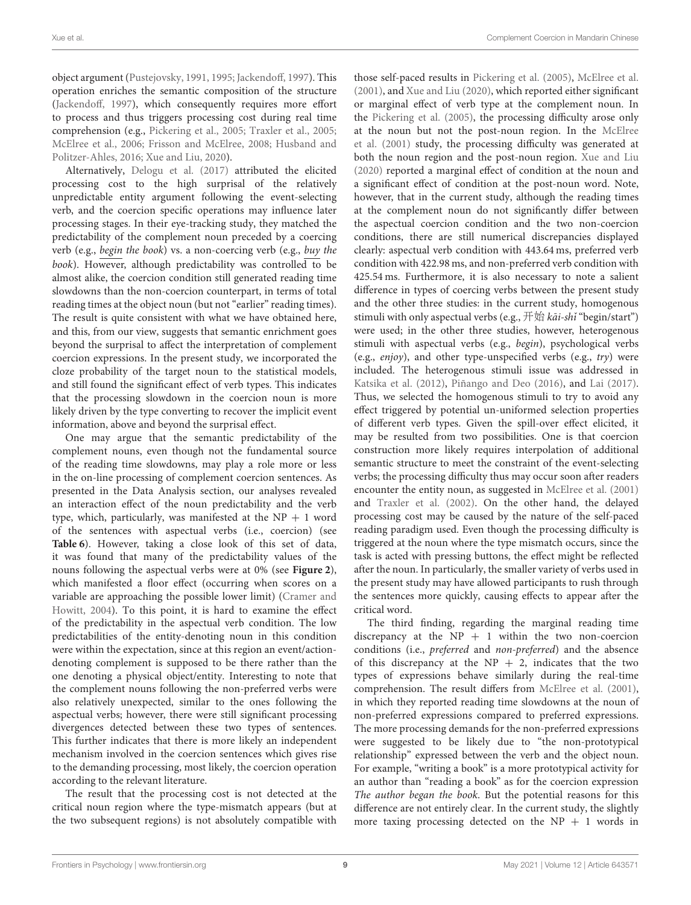Xue et al. Complement Coercion in Mandarin Chinese

object argument [\(Pustejovsky, 1991,](#page-10-0) [1995;](#page-10-1) [Jackendoff, 1997\)](#page-10-2). This operation enriches the semantic composition of the structure [\(Jackendoff, 1997\)](#page-10-2), which consequently requires more effort to process and thus triggers processing cost during real time comprehension (e.g., [Pickering et al., 2005;](#page-10-4) [Traxler et al., 2005;](#page-11-2) [McElree et al., 2006;](#page-10-10) [Frisson and McElree, 2008;](#page-10-5) Husband and Politzer-Ahles, [2016;](#page-10-14) [Xue and Liu, 2020\)](#page-11-5).

Alternatively, [Delogu et al. \(2017\)](#page-10-15) attributed the elicited processing cost to the high surprisal of the relatively unpredictable entity argument following the event-selecting verb, and the coercion specific operations may influence later processing stages. In their eye-tracking study, they matched the predictability of the complement noun preceded by a coercing verb (e.g., begin the book) vs. a non-coercing verb (e.g., buy the book). However, although predictability was controlled to be almost alike, the coercion condition still generated reading time slowdowns than the non-coercion counterpart, in terms of total reading times at the object noun (but not "earlier" reading times). The result is quite consistent with what we have obtained here, and this, from our view, suggests that semantic enrichment goes beyond the surprisal to affect the interpretation of complement coercion expressions. In the present study, we incorporated the cloze probability of the target noun to the statistical models, and still found the significant effect of verb types. This indicates that the processing slowdown in the coercion noun is more likely driven by the type converting to recover the implicit event information, above and beyond the surprisal effect.

One may argue that the semantic predictability of the complement nouns, even though not the fundamental source of the reading time slowdowns, may play a role more or less in the on-line processing of complement coercion sentences. As presented in the Data Analysis section, our analyses revealed an interaction effect of the noun predictability and the verb type, which, particularly, was manifested at the  $NP + 1$  word of the sentences with aspectual verbs (i.e., coercion) (see **[Table 6](#page-7-0)**). However, taking a close look of this set of data, it was found that many of the predictability values of the nouns following the aspectual verbs were at 0% (see **[Figure 2](#page-6-4)**), which manifested a floor effect (occurring when scores on a variable are approaching the possible lower limit) (Cramer and Howitt, [2004\)](#page-10-42). To this point, it is hard to examine the effect of the predictability in the aspectual verb condition. The low predictabilities of the entity-denoting noun in this condition were within the expectation, since at this region an event/actiondenoting complement is supposed to be there rather than the one denoting a physical object/entity. Interesting to note that the complement nouns following the non-preferred verbs were also relatively unexpected, similar to the ones following the aspectual verbs; however, there were still significant processing divergences detected between these two types of sentences. This further indicates that there is more likely an independent mechanism involved in the coercion sentences which gives rise to the demanding processing, most likely, the coercion operation according to the relevant literature.

The result that the processing cost is not detected at the critical noun region where the type-mismatch appears (but at the two subsequent regions) is not absolutely compatible with those self-paced results in [Pickering et al. \(2005\)](#page-10-4), [McElree et al.](#page-10-3) [\(2001\)](#page-10-3), and [Xue and Liu \(2020\)](#page-11-5), which reported either significant or marginal effect of verb type at the complement noun. In the [Pickering et al. \(2005\)](#page-10-4), the processing difficulty arose only at the noun but not the post-noun region. In the McElree et al. [\(2001\)](#page-10-3) study, the processing difficulty was generated at both the noun region and the post-noun region. [Xue and Liu](#page-11-5) [\(2020\)](#page-11-5) reported a marginal effect of condition at the noun and a significant effect of condition at the post-noun word. Note, however, that in the current study, although the reading times at the complement noun do not significantly differ between the aspectual coercion condition and the two non-coercion conditions, there are still numerical discrepancies displayed clearly: aspectual verb condition with 443.64 ms, preferred verb condition with 422.98 ms, and non-preferred verb condition with 425.54 ms. Furthermore, it is also necessary to note a salient difference in types of coercing verbs between the present study and the other three studies: in the current study, homogenous stimuli with only aspectual verbs (e.g.,  $\#\nexists \vec{r}$  kāi-shi "begin/start") were used; in the other three studies, however, heterogenous stimuli with aspectual verbs (e.g., begin), psychological verbs (e.g., enjoy), and other type-unspecified verbs (e.g., try) were included. The heterogenous stimuli issue was addressed in [Katsika et al. \(2012\)](#page-10-9), [Piñango and Deo \(2016\)](#page-10-19), and [Lai \(2017\)](#page-10-8). Thus, we selected the homogenous stimuli to try to avoid any effect triggered by potential un-uniformed selection properties of different verb types. Given the spill-over effect elicited, it may be resulted from two possibilities. One is that coercion construction more likely requires interpolation of additional semantic structure to meet the constraint of the event-selecting verbs; the processing difficulty thus may occur soon after readers encounter the entity noun, as suggested in [McElree et al. \(2001\)](#page-10-3) and [Traxler et al. \(2002\)](#page-11-0). On the other hand, the delayed processing cost may be caused by the nature of the self-paced reading paradigm used. Even though the processing difficulty is triggered at the noun where the type mismatch occurs, since the task is acted with pressing buttons, the effect might be reflected after the noun. In particularly, the smaller variety of verbs used in the present study may have allowed participants to rush through the sentences more quickly, causing effects to appear after the critical word.

The third finding, regarding the marginal reading time discrepancy at the  $NP + 1$  within the two non-coercion conditions (i.e., preferred and non-preferred) and the absence of this discrepancy at the  $NP + 2$ , indicates that the two types of expressions behave similarly during the real-time comprehension. The result differs from [McElree et al. \(2001\)](#page-10-3), in which they reported reading time slowdowns at the noun of non-preferred expressions compared to preferred expressions. The more processing demands for the non-preferred expressions were suggested to be likely due to "the non-prototypical relationship" expressed between the verb and the object noun. For example, "writing a book" is a more prototypical activity for an author than "reading a book" as for the coercion expression The author began the book. But the potential reasons for this difference are not entirely clear. In the current study, the slightly more taxing processing detected on the  $NP + 1$  words in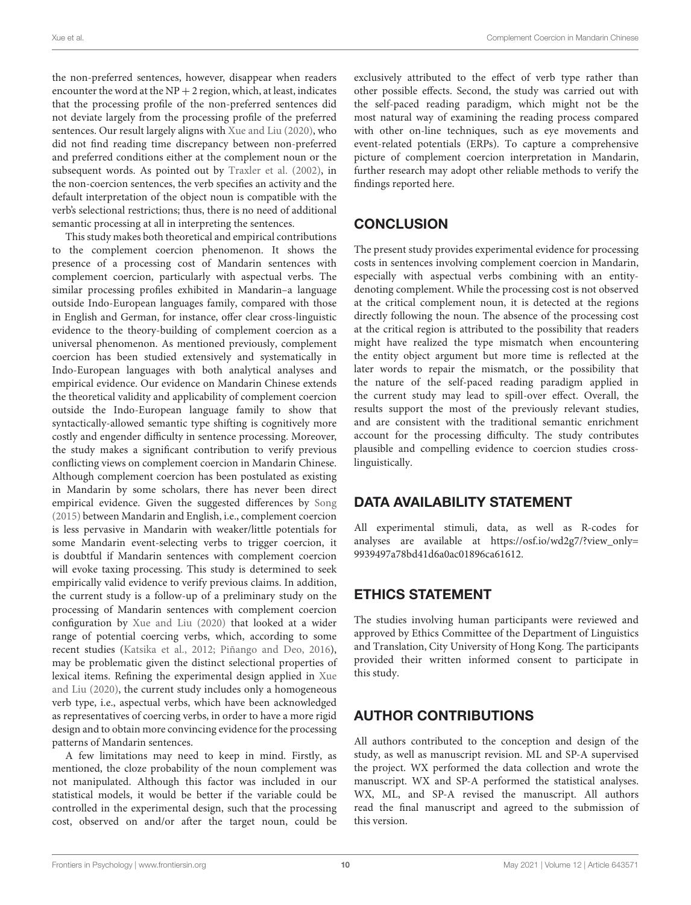the non-preferred sentences, however, disappear when readers encounter the word at the  $NP + 2$  region, which, at least, indicates that the processing profile of the non-preferred sentences did not deviate largely from the processing profile of the preferred sentences. Our result largely aligns with [Xue and Liu \(2020\)](#page-11-5), who did not find reading time discrepancy between non-preferred and preferred conditions either at the complement noun or the subsequent words. As pointed out by [Traxler et al. \(2002\)](#page-11-0), in the non-coercion sentences, the verb specifies an activity and the default interpretation of the object noun is compatible with the verb's selectional restrictions; thus, there is no need of additional semantic processing at all in interpreting the sentences.

This study makes both theoretical and empirical contributions to the complement coercion phenomenon. It shows the presence of a processing cost of Mandarin sentences with complement coercion, particularly with aspectual verbs. The similar processing profiles exhibited in Mandarin–a language outside Indo-European languages family, compared with those in English and German, for instance, offer clear cross-linguistic evidence to the theory-building of complement coercion as a universal phenomenon. As mentioned previously, complement coercion has been studied extensively and systematically in Indo-European languages with both analytical analyses and empirical evidence. Our evidence on Mandarin Chinese extends the theoretical validity and applicability of complement coercion outside the Indo-European language family to show that syntactically-allowed semantic type shifting is cognitively more costly and engender difficulty in sentence processing. Moreover, the study makes a significant contribution to verify previous conflicting views on complement coercion in Mandarin Chinese. Although complement coercion has been postulated as existing in Mandarin by some scholars, there has never been direct empirical evidence. Given the suggested differences by [Song](#page-10-24) [\(2015\)](#page-10-24) between Mandarin and English, i.e., complement coercion is less pervasive in Mandarin with weaker/little potentials for some Mandarin event-selecting verbs to trigger coercion, it is doubtful if Mandarin sentences with complement coercion will evoke taxing processing. This study is determined to seek empirically valid evidence to verify previous claims. In addition, the current study is a follow-up of a preliminary study on the processing of Mandarin sentences with complement coercion configuration by [Xue and Liu \(2020\)](#page-11-5) that looked at a wider range of potential coercing verbs, which, according to some recent studies [\(Katsika et al., 2012;](#page-10-9) [Piñango and Deo, 2016\)](#page-10-19), may be problematic given the distinct selectional properties of lexical items. Refining the experimental design applied in Xue and Liu [\(2020\)](#page-11-5), the current study includes only a homogeneous verb type, i.e., aspectual verbs, which have been acknowledged as representatives of coercing verbs, in order to have a more rigid design and to obtain more convincing evidence for the processing patterns of Mandarin sentences.

A few limitations may need to keep in mind. Firstly, as mentioned, the cloze probability of the noun complement was not manipulated. Although this factor was included in our statistical models, it would be better if the variable could be controlled in the experimental design, such that the processing cost, observed on and/or after the target noun, could be exclusively attributed to the effect of verb type rather than other possible effects. Second, the study was carried out with the self-paced reading paradigm, which might not be the most natural way of examining the reading process compared with other on-line techniques, such as eye movements and event-related potentials (ERPs). To capture a comprehensive picture of complement coercion interpretation in Mandarin, further research may adopt other reliable methods to verify the findings reported here.

# **CONCLUSION**

The present study provides experimental evidence for processing costs in sentences involving complement coercion in Mandarin, especially with aspectual verbs combining with an entitydenoting complement. While the processing cost is not observed at the critical complement noun, it is detected at the regions directly following the noun. The absence of the processing cost at the critical region is attributed to the possibility that readers might have realized the type mismatch when encountering the entity object argument but more time is reflected at the later words to repair the mismatch, or the possibility that the nature of the self-paced reading paradigm applied in the current study may lead to spill-over effect. Overall, the results support the most of the previously relevant studies, and are consistent with the traditional semantic enrichment account for the processing difficulty. The study contributes plausible and compelling evidence to coercion studies crosslinguistically.

# DATA AVAILABILITY STATEMENT

All experimental stimuli, data, as well as R-codes for analyses are available at [https://osf.io/wd2g7/?view\\_only=](https://osf.io/wd2g7/?view_only=9939497a78bd41d6a0ac01896ca61612) [9939497a78bd41d6a0ac01896ca61612.](https://osf.io/wd2g7/?view_only=9939497a78bd41d6a0ac01896ca61612)

# ETHICS STATEMENT

The studies involving human participants were reviewed and approved by Ethics Committee of the Department of Linguistics and Translation, City University of Hong Kong. The participants provided their written informed consent to participate in this study.

# AUTHOR CONTRIBUTIONS

All authors contributed to the conception and design of the study, as well as manuscript revision. ML and SP-A supervised the project. WX performed the data collection and wrote the manuscript. WX and SP-A performed the statistical analyses. WX, ML, and SP-A revised the manuscript. All authors read the final manuscript and agreed to the submission of this version.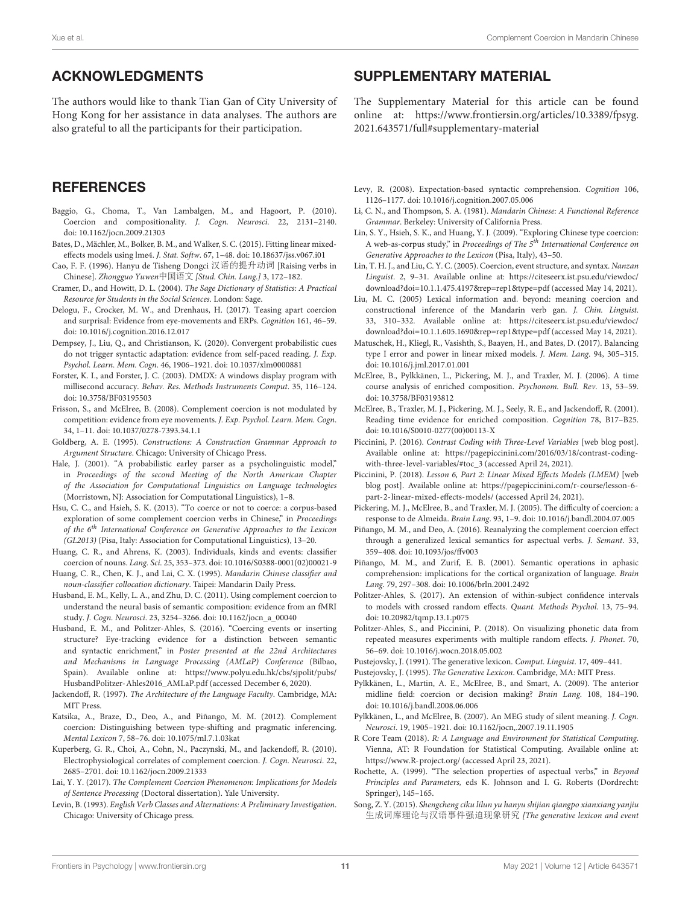## ACKNOWLEDGMENTS

The authors would like to thank Tian Gan of City University of Hong Kong for her assistance in data analyses. The authors are also grateful to all the participants for their participation.

## **REFERENCES**

- <span id="page-10-13"></span>Baggio, G., Choma, T., Van Lambalgen, M., and Hagoort, P. (2010). Coercion and compositionality. J. Cogn. Neurosci. 22, 2131–2140. doi: [10.1162/jocn.2009.21303](https://doi.org/10.1162/jocn.2009.21303)
- <span id="page-10-38"></span>Bates, D., Mächler, M., Bolker, B. M., and Walker, S. C. (2015). Fitting linear mixedeffects models using lme4. J. Stat. Softw. 67, 1–48. doi: [10.18637/jss.v067.i01](https://doi.org/10.18637/jss.v067.i01)
- <span id="page-10-30"></span>Cao, F. F. (1996). Hanyu de Tisheng Dongci 汉语的提升动词 [Raising verbs in Chinese]. Zhongguo Yuwen中国语文 [Stud. Chin. Lang.] 3, 172–182.
- <span id="page-10-42"></span>Cramer, D., and Howitt, D. L. (2004). The Sage Dictionary of Statistics: A Practical Resource for Students in the Social Sciences. London: Sage.
- <span id="page-10-15"></span>Delogu, F., Crocker, M. W., and Drenhaus, H. (2017). Teasing apart coercion and surprisal: Evidence from eye-movements and ERPs. Cognition 161, 46–59. doi: [10.1016/j.cognition.2016.12.017](https://doi.org/10.1016/j.cognition.2016.12.017)
- <span id="page-10-34"></span>Dempsey, J., Liu, Q., and Christianson, K. (2020). Convergent probabilistic cues do not trigger syntactic adaptation: evidence from self-paced reading. J. Exp. Psychol. Learn. Mem. Cogn. 46, 1906–1921. doi: [10.1037/xlm0000881](https://doi.org/10.1037/xlm0000881)
- <span id="page-10-33"></span>Forster, K. I., and Forster, J. C. (2003). DMDX: A windows display program with millisecond accuracy. Behav. Res. Methods Instruments Comput. 35, 116–124. doi: [10.3758/BF03195503](https://doi.org/10.3758/BF03195503)
- <span id="page-10-5"></span>Frisson, S., and McElree, B. (2008). Complement coercion is not modulated by competition: evidence from eye movements. J. Exp. Psychol. Learn. Mem. Cogn. 34, 1–11. doi: [10.1037/0278-7393.34.1.1](https://doi.org/10.1037/0278-7393.34.1.1)
- <span id="page-10-25"></span>Goldberg, A. E. (1995). Constructions: A Construction Grammar Approach to Argument Structure. Chicago: University of Chicago Press.
- <span id="page-10-17"></span>Hale, J. (2001). "A probabilistic earley parser as a psycholinguistic model," in Proceedings of the second Meeting of the North American Chapter of the Association for Computational Linguistics on Language technologies (Morristown, NJ: Association for Computational Linguistics), 1–8.
- <span id="page-10-23"></span>Hsu, C. C., and Hsieh, S. K. (2013). "To coerce or not to coerce: a corpus-based exploration of some complement coercion verbs in Chinese," in Proceedings of the 6<sup>th</sup> International Conference on Generative Approaches to the Lexicon (GL2013) (Pisa, Italy: Association for Computational Linguistics), 13–20.
- <span id="page-10-32"></span>Huang, C. R., and Ahrens, K. (2003). Individuals, kinds and events: classifier coercion of nouns. Lang. Sci. 25, 353–373. doi: [10.1016/S0388-0001\(02\)00021-9](https://doi.org/10.1016/S0388-0001(02)00021-9)
- <span id="page-10-31"></span>Huang, C. R., Chen, K. J., and Lai, C. X. (1995). Mandarin Chinese classifier and noun-classifier collocation dictionary. Taipei: Mandarin Daily Press.
- <span id="page-10-7"></span>Husband, E. M., Kelly, L. A., and Zhu, D. C. (2011). Using complement coercion to understand the neural basis of semantic composition: evidence from an fMRI study. J. Cogn. Neurosci. 23, 3254–3266. doi: [10.1162/jocn\\_a\\_00040](https://doi.org/10.1162/jocn_a_00040)
- <span id="page-10-14"></span>Husband, E. M., and Politzer-Ahles, S. (2016). "Coercing events or inserting structure? Eye-tracking evidence for a distinction between semantic and syntactic enrichment," in Poster presented at the 22nd Architectures and Mechanisms in Language Processing (AMLaP) Conference (Bilbao, Spain). Available online at: [https://www.polyu.edu.hk/cbs/sjpolit/pubs/](https://www.polyu.edu.hk/cbs/sjpolit/pubs/HusbandPolitzer-Ahles2016_AMLaP.pdf) [HusbandPolitzer-Ahles2016\\_AMLaP.pdf](https://www.polyu.edu.hk/cbs/sjpolit/pubs/HusbandPolitzer-Ahles2016_AMLaP.pdf) (accessed December 6, 2020).
- <span id="page-10-2"></span>Jackendoff, R. (1997). The Architecture of the Language Faculty. Cambridge, MA: MIT Press.
- <span id="page-10-9"></span>Katsika, A., Braze, D., Deo, A., and Piñango, M. M. (2012). Complement coercion: Distinguishing between type-shifting and pragmatic inferencing. Mental Lexicon 7, 58–76. doi: [10.1075/ml.7.1.03kat](https://doi.org/10.1075/ml.7.1.03kat)
- <span id="page-10-6"></span>Kuperberg, G. R., Choi, A., Cohn, N., Paczynski, M., and Jackendoff, R. (2010). Electrophysiological correlates of complement coercion. J. Cogn. Neurosci. 22, 2685–2701. doi: [10.1162/jocn.2009.21333](https://doi.org/10.1162/jocn.2009.21333)
- <span id="page-10-8"></span>Lai, Y. Y. (2017). The Complement Coercion Phenomenon: Implications for Models of Sentence Processing (Doctoral dissertation). Yale University.
- <span id="page-10-26"></span>Levin, B. (1993). English Verb Classes and Alternations: A Preliminary Investigation. Chicago: University of Chicago press.

## SUPPLEMENTARY MATERIAL

<span id="page-10-27"></span>The Supplementary Material for this article can be found [online at: https://www.frontiersin.org/articles/10.3389/fpsyg.](https://www.frontiersin.org/articles/10.3389/fpsyg.2021.643571/full#supplementary-material) 2021.643571/full#supplementary-material

- <span id="page-10-18"></span>Levy, R. (2008). Expectation-based syntactic comprehension. Cognition 106, 1126–1177. doi: [10.1016/j.cognition.2007.05.006](https://doi.org/10.1016/j.cognition.2007.05.006)
- <span id="page-10-28"></span>Li, C. N., and Thompson, S. A. (1981). Mandarin Chinese: A Functional Reference Grammar. Berkeley: University of California Press.
- <span id="page-10-22"></span>Lin, S. Y., Hsieh, S. K., and Huang, Y. J. (2009). "Exploring Chinese type coercion: A web-as-corpus study," in Proceedings of The 5<sup>th</sup> International Conference on Generative Approaches to the Lexicon (Pisa, Italy), 43–50.
- <span id="page-10-20"></span>Lin, T. H. J., and Liu, C. Y. C. (2005). Coercion, event structure, and syntax. Nanzan Linguist. 2, 9–31. Available online at: [https://citeseerx.ist.psu.edu/viewdoc/](https://citeseerx.ist.psu.edu/viewdoc/download?doi=10.1.1.475.4197&rep=rep1&type=pdf) [download?doi=10.1.1.475.4197&rep=rep1&type=pdf](https://citeseerx.ist.psu.edu/viewdoc/download?doi=10.1.1.475.4197&rep=rep1&type=pdf) (accessed May 14, 2021).
- <span id="page-10-21"></span>Liu, M. C. (2005) Lexical information and. beyond: meaning coercion and constructional inference of the Mandarin verb gan. J. Chin. Linguist. 33, 310–332. Available online at: [https://citeseerx.ist.psu.edu/viewdoc/](https://citeseerx.ist.psu.edu/viewdoc/download?doi=10.1.1.605.1690&rep=rep1&type=pdf) [download?doi=10.1.1.605.1690&rep=rep1&type=pdf](https://citeseerx.ist.psu.edu/viewdoc/download?doi=10.1.1.605.1690&rep=rep1&type=pdf) (accessed May 14, 2021).
- <span id="page-10-39"></span>Matuschek, H., Kliegl, R., Vasishth, S., Baayen, H., and Bates, D. (2017). Balancing type I error and power in linear mixed models. J. Mem. Lang. 94, 305–315. doi: [10.1016/j.jml.2017.01.001](https://doi.org/10.1016/j.jml.2017.01.001)
- <span id="page-10-10"></span>McElree, B., Pylkkänen, L., Pickering, M. J., and Traxler, M. J. (2006). A time course analysis of enriched composition. Psychonom. Bull. Rev. 13, 53–59. doi: [10.3758/BF03193812](https://doi.org/10.3758/BF03193812)
- <span id="page-10-3"></span>McElree, B., Traxler, M. J., Pickering, M. J., Seely, R. E., and Jackendoff, R. (2001). Reading time evidence for enriched composition. Cognition 78, B17–B25. doi: [10.1016/S0010-0277\(00\)00113-X](https://doi.org/10.1016/S0010-0277(00)00113-X)
- <span id="page-10-41"></span>Piccinini, P. (2016). Contrast Coding with Three-Level Variables [web blog post]. Available online at: [https://pagepiccinini.com/2016/03/18/contrast-coding](https://pagepiccinini.com/2016/03/18/contrast-coding-with-three-level-variables/#toc_3)[with-three-level-variables/#toc\\_3](https://pagepiccinini.com/2016/03/18/contrast-coding-with-three-level-variables/#toc_3) (accessed April 24, 2021).
- <span id="page-10-40"></span>Piccinini, P. (2018). Lesson 6, Part 2: Linear Mixed Effects Models (LMEM) [web blog post]. Available online at: [https://pagepiccinini.com/r-course/lesson-6](https://pagepiccinini.com/r-course/lesson-6-part-2-linear-mixed-effects-models/) [part-2-linear-mixed-effects-models/](https://pagepiccinini.com/r-course/lesson-6-part-2-linear-mixed-effects-models/) (accessed April 24, 2021).
- <span id="page-10-4"></span>Pickering, M. J., McElree, B., and Traxler, M. J. (2005). The difficulty of coercion: a response to de Almeida. Brain Lang. 93, 1–9. doi: [10.1016/j.bandl.2004.07.005](https://doi.org/10.1016/j.bandl.2004.07.005)
- <span id="page-10-19"></span>Piñango, M. M., and Deo, A. (2016). Reanalyzing the complement coercion effect through a generalized lexical semantics for aspectual verbs. J. Semant. 33, 359–408. doi: [10.1093/jos/ffv003](https://doi.org/10.1093/jos/ffv003)
- <span id="page-10-11"></span>Piñango, M. M., and Zurif, E. B. (2001). Semantic operations in aphasic comprehension: implications for the cortical organization of language. Brain Lang. 79, 297–308. doi: [10.1006/brln.2001.2492](https://doi.org/10.1006/brln.2001.2492)
- <span id="page-10-36"></span>Politzer-Ahles, S. (2017). An extension of within-subject confidence intervals to models with crossed random effects. Quant. Methods Psychol. 13, 75–94. doi: [10.20982/tqmp.13.1.p075](https://doi.org/10.20982/tqmp.13.1.p075)
- <span id="page-10-37"></span>Politzer-Ahles, S., and Piccinini, P. (2018). On visualizing phonetic data from repeated measures experiments with multiple random effects. J. Phonet. 70, 56–69. doi: [10.1016/j.wocn.2018.05.002](https://doi.org/10.1016/j.wocn.2018.05.002)
- <span id="page-10-0"></span>Pustejovsky, J. (1991). The generative lexicon. Comput. Linguist. 17, 409–441.
- <span id="page-10-1"></span>Pustejovsky, J. (1995). The Generative Lexicon. Cambridge, MA: MIT Press.
- <span id="page-10-16"></span>Pylkkänen, L., Martin, A. E., McElree, B., and Smart, A. (2009). The anterior midline field: coercion or decision making? Brain Lang. 108, 184–190. doi: [10.1016/j.bandl.2008.06.006](https://doi.org/10.1016/j.bandl.2008.06.006)
- <span id="page-10-12"></span>Pylkkänen, L., and McElree, B. (2007). An MEG study of silent meaning. J. Cogn. Neurosci. 19, 1905–1921. doi: [10.1162/jocn,.2007.19.11.1905](https://doi.org/10.1162/jocn,.2007.19.11.1905)
- <span id="page-10-35"></span>R Core Team (2018). R: A Language and Environment for Statistical Computing. Vienna, AT: R Foundation for Statistical Computing. Available online at: <https://www.R-project.org/> (accessed April 23, 2021).
- <span id="page-10-29"></span>Rochette, A. (1999). "The selection properties of aspectual verbs," in Beyond Principles and Parameters, eds K. Johnson and I. G. Roberts (Dordrecht: Springer), 145–165.
- <span id="page-10-24"></span>Song, Z. Y. (2015). Shengcheng ciku lilun yu hanyu shijian qiangpo xianxiang yanjiu 生成词库理论与汉语事件强迫现象研究 [The generative lexicon and event